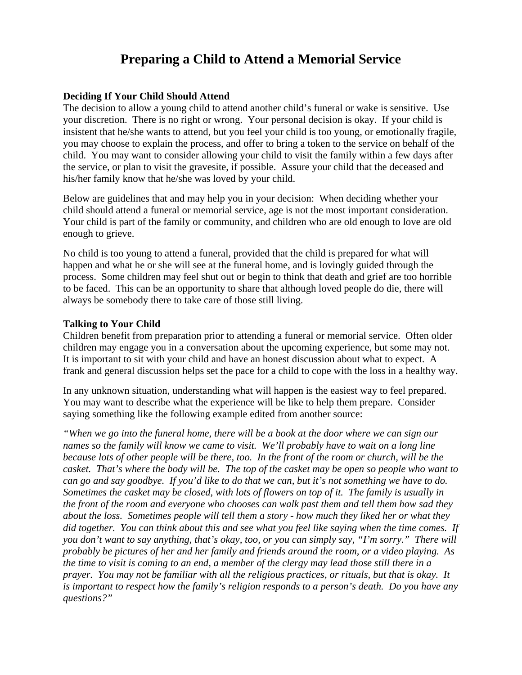# **Preparing a Child to Attend a Memorial Service**

## **Deciding If Your Child Should Attend**

The decision to allow a young child to attend another child's funeral or wake is sensitive. Use your discretion. There is no right or wrong. Your personal decision is okay. If your child is insistent that he/she wants to attend, but you feel your child is too young, or emotionally fragile, you may choose to explain the process, and offer to bring a token to the service on behalf of the child. You may want to consider allowing your child to visit the family within a few days after the service, or plan to visit the gravesite, if possible. Assure your child that the deceased and his/her family know that he/she was loved by your child.

Below are guidelines that and may help you in your decision: When deciding whether your child should attend a funeral or memorial service, age is not the most important consideration. Your child is part of the family or community, and children who are old enough to love are old enough to grieve.

No child is too young to attend a funeral, provided that the child is prepared for what will happen and what he or she will see at the funeral home, and is lovingly guided through the process. Some children may feel shut out or begin to think that death and grief are too horrible to be faced. This can be an opportunity to share that although loved people do die, there will always be somebody there to take care of those still living.

### **Talking to Your Child**

Children benefit from preparation prior to attending a funeral or memorial service. Often older children may engage you in a conversation about the upcoming experience, but some may not. It is important to sit with your child and have an honest discussion about what to expect. A frank and general discussion helps set the pace for a child to cope with the loss in a healthy way.

In any unknown situation, understanding what will happen is the easiest way to feel prepared. You may want to describe what the experience will be like to help them prepare. Consider saying something like the following example edited from another source:

*"When we go into the funeral home, there will be a book at the door where we can sign our names so the family will know we came to visit. We'll probably have to wait on a long line because lots of other people will be there, too. In the front of the room or church, will be the casket. That's where the body will be. The top of the casket may be open so people who want to can go and say goodbye. If you'd like to do that we can, but it's not something we have to do. Sometimes the casket may be closed, with lots of flowers on top of it. The family is usually in the front of the room and everyone who chooses can walk past them and tell them how sad they about the loss. Sometimes people will tell them a story - how much they liked her or what they did together. You can think about this and see what you feel like saying when the time comes. If you don't want to say anything, that's okay, too, or you can simply say, "I'm sorry." There will probably be pictures of her and her family and friends around the room, or a video playing. As the time to visit is coming to an end, a member of the clergy may lead those still there in a prayer. You may not be familiar with all the religious practices, or rituals, but that is okay. It is important to respect how the family's religion responds to a person's death. Do you have any questions?"*